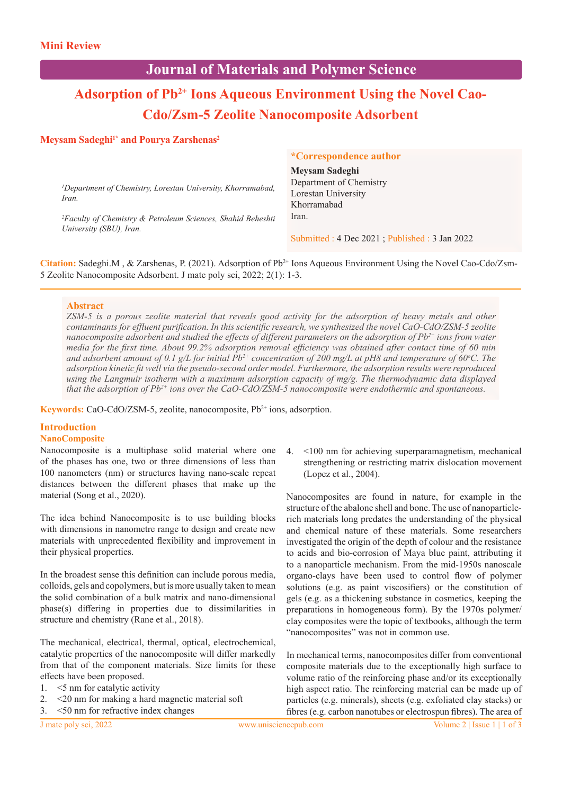## **Journal of Materials and Polymer Science**

# Adsorption of Pb<sup>2+</sup> Ions Aqueous Environment Using the Novel Cao-**Cdo/Zsm-5 Zeolite Nanocomposite Adsorbent**

## **Meysam Sadeghi<sup>1\*</sup> and Pourya Zarshenas<sup>2</sup>**

|                                                                                                    | <i>*Correspondence author</i>                  |
|----------------------------------------------------------------------------------------------------|------------------------------------------------|
|                                                                                                    | Meysam Sadeghi                                 |
| <sup>1</sup> Department of Chemistry, Lorestan University, Khorramabad,<br>Iran.                   | Department of Chemistry                        |
|                                                                                                    | Lorestan University                            |
|                                                                                                    | Khorramabad                                    |
| <sup>2</sup> Faculty of Chemistry & Petroleum Sciences, Shahid Beheshti<br>University (SBU), Iran. | Iran.                                          |
|                                                                                                    | Submitted : 4 Dec 2021; Published : 3 Jan 2022 |

**Citation:** Sadeghi.M , & Zarshenas, P. (2021). Adsorption of Pb2+ Ions Aqueous Environment Using the Novel Cao-Cdo/Zsm-5 Zeolite Nanocomposite Adsorbent. J mate poly sci, 2022; 2(1): 1-3.

### **Abstract**

*ZSM-5 is a porous zeolite material that reveals good activity for the adsorption of heavy metals and other contaminants for effluent purification. In this scientific research, we synthesized the novel CaO-CdO/ZSM-5 zeolite nanocomposite adsorbent and studied the effects of different parameters on the adsorption of Pb2+ ions from water media for the first time. About 99.2% adsorption removal efficiency was obtained after contact time of 60 min and adsorbent amount of 0.1 g/L for initial Pb2+ concentration of 200 mg/L at pH8 and temperature of 60<sup>o</sup> C. The adsorption kinetic fit well via the pseudo-second order model. Furthermore, the adsorption results were reproduced using the Langmuir isotherm with a maximum adsorption capacity of mg/g. The thermodynamic data displayed that the adsorption of Pb2+ ions over the CaO-CdO/ZSM-5 nanocomposite were endothermic and spontaneous.* 

**Keywords:** CaO-CdO/ZSM-5, zeolite, nanocomposite, Pb<sup>2+</sup> ions, adsorption.

## **Introduction**

## **NanoComposite**

Nanocomposite is a multiphase solid material where one of the phases has one, two or three dimensions of less than 100 nanometers (nm) or structures having nano-scale repeat distances between the different phases that make up the material (Song et al., 2020).

The idea behind Nanocomposite is to use building blocks with dimensions in nanometre range to design and create new materials with unprecedented flexibility and improvement in their physical properties.

In the broadest sense this definition can include porous media, colloids, gels and copolymers, but is more usually taken to mean the solid combination of a bulk matrix and nano-dimensional phase(s) differing in properties due to dissimilarities in structure and chemistry (Rane et al., 2018).

The mechanical, electrical, thermal, optical, electrochemical, catalytic properties of the nanocomposite will differ markedly from that of the component materials. Size limits for these effects have been proposed.

- 1. <5 nm for catalytic activity
- 2. <20 nm for making a hard magnetic material soft

3. <50 nm for refractive index changes

4. <100 nm for achieving superparamagnetism, mechanical strengthening or restricting matrix dislocation movement (Lopez et al., 2004).

Nanocomposites are found in nature, for example in the structure of the abalone shell and bone. The use of nanoparticlerich materials long predates the understanding of the physical and chemical nature of these materials. Some researchers investigated the origin of the depth of colour and the resistance to acids and bio-corrosion of Maya blue paint, attributing it to a nanoparticle mechanism. From the mid-1950s nanoscale organo-clays have been used to control flow of polymer solutions (e.g. as paint viscosifiers) or the constitution of gels (e.g. as a thickening substance in cosmetics, keeping the preparations in homogeneous form). By the 1970s polymer/ clay composites were the topic of textbooks, although the term "nanocomposites" was not in common use.

In mechanical terms, nanocomposites differ from conventional composite materials due to the exceptionally high surface to volume ratio of the reinforcing phase and/or its exceptionally high aspect ratio. The reinforcing material can be made up of particles (e.g. minerals), sheets (e.g. exfoliated clay stacks) or fibres (e.g. carbon nanotubes or electrospun fibres). The area of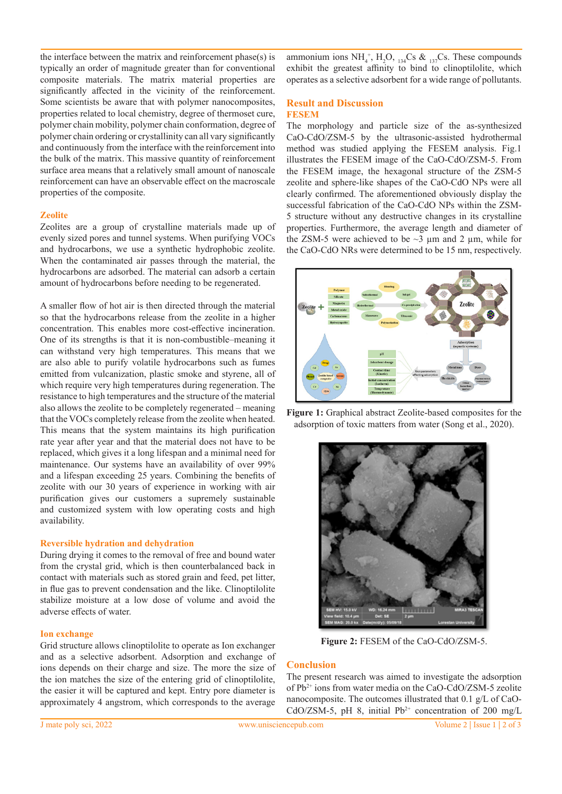the interface between the matrix and reinforcement phase(s) is typically an order of magnitude greater than for conventional composite materials. The matrix material properties are significantly affected in the vicinity of the reinforcement. Some scientists be aware that with polymer nanocomposites, properties related to local chemistry, degree of thermoset cure, polymer chain mobility, polymer chain conformation, degree of polymer chain ordering or crystallinity can all vary significantly and continuously from the interface with the reinforcement into the bulk of the matrix. This massive quantity of reinforcement surface area means that a relatively small amount of nanoscale reinforcement can have an observable effect on the macroscale properties of the composite.

#### **Zeolite**

Zeolites are a group of crystalline materials made up of evenly sized pores and tunnel systems. When purifying VOCs and hydrocarbons, we use a synthetic hydrophobic zeolite. When the contaminated air passes through the material, the hydrocarbons are adsorbed. The material can adsorb a certain amount of hydrocarbons before needing to be regenerated.

A smaller flow of hot air is then directed through the material so that the hydrocarbons release from the zeolite in a higher concentration. This enables more cost-effective incineration. One of its strengths is that it is non-combustible–meaning it can withstand very high temperatures. This means that we are also able to purify volatile hydrocarbons such as fumes emitted from vulcanization, plastic smoke and styrene, all of which require very high temperatures during regeneration. The resistance to high temperatures and the structure of the material also allows the zeolite to be completely regenerated – meaning that the VOCs completely release from the zeolite when heated. This means that the system maintains its high purification rate year after year and that the material does not have to be replaced, which gives it a long lifespan and a minimal need for maintenance. Our systems have an availability of over 99% and a lifespan exceeding 25 years. Combining the benefits of zeolite with our 30 years of experience in working with air purification gives our customers a supremely sustainable and customized system with low operating costs and high availability.

#### **Reversible hydration and dehydration**

During drying it comes to the removal of free and bound water from the crystal grid, which is then counterbalanced back in contact with materials such as stored grain and feed, pet litter, in flue gas to prevent condensation and the like. Clinoptilolite stabilize moisture at a low dose of volume and avoid the adverse effects of water.

#### **Ion exchange**

Grid structure allows clinoptilolite to operate as Ion exchanger and as a selective adsorbent. Adsorption and exchange of ions depends on their charge and size. The more the size of the ion matches the size of the entering grid of clinoptilolite, the easier it will be captured and kept. Entry pore diameter is approximately 4 angstrom, which corresponds to the average

ammonium ions  $NH_4^+$ ,  $H_2O$ ,  $_{134}Cs$  &  $_{137}Cs$ . These compounds exhibit the greatest affinity to bind to clinoptilolite, which operates as a selective adsorbent for a wide range of pollutants.

#### **Result and Discussion FESEM**

The morphology and particle size of the as-synthesized CaO-CdO/ZSM-5 by the ultrasonic-assisted hydrothermal method was studied applying the FESEM analysis. Fig.1 illustrates the FESEM image of the CaO-CdO/ZSM-5. From the FESEM image, the hexagonal structure of the ZSM-5 zeolite and sphere-like shapes of the CaO-CdO NPs were all clearly confirmed. The aforementioned obviously display the successful fabrication of the CaO-CdO NPs within the ZSM-5 structure without any destructive changes in its crystalline properties. Furthermore, the average length and diameter of the ZSM-5 were achieved to be  $\sim$ 3  $\mu$ m and 2  $\mu$ m, while for the CaO-CdO NRs were determined to be 15 nm, respectively.



**Figure 1:** Graphical abstract Zeolite-based composites for the adsorption of toxic matters from water (Song et al., 2020).



**Figure 2:** FESEM of the CaO-CdO/ZSM-5.

#### **Conclusion**

The present research was aimed to investigate the adsorption of Pb2+ ions from water media on the CaO-CdO/ZSM-5 zeolite nanocomposite. The outcomes illustrated that 0.1 g/L of CaO-CdO/ZSM-5, pH 8, initial  $Pb^{2+}$  concentration of 200 mg/L